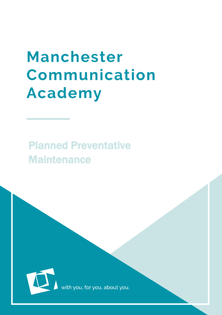## **Manchester** Communication **Academy**

## Planned Preventative **Maintenance**



with you, for you, about you.

Maximum is a set of the set of the set of the set of the set of the set of the set of the set of the set of th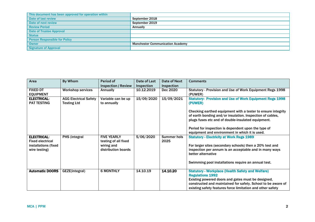| This document has been approved for operation within |                                         |
|------------------------------------------------------|-----------------------------------------|
| Date of last review                                  | September 2018                          |
| Date of next review                                  | September 2019                          |
| <b>Review Period</b>                                 | <b>Annually</b>                         |
| <b>Date of Trustee Approval</b>                      |                                         |
| <b>Status</b>                                        |                                         |
| <b>Person Responsible for Policy</b>                 |                                         |
| Owner                                                | <b>Manchester Communication Academy</b> |
| <b>Signature of Approval</b>                         |                                         |

| Area                    | By Whom                      | Period of                  | Date of Last | Date of Next | <b>Comments</b>                                                 |
|-------------------------|------------------------------|----------------------------|--------------|--------------|-----------------------------------------------------------------|
|                         |                              | <b>Inspection / Review</b> | Inspection   | Inspection   |                                                                 |
| <b>FIXED DT</b>         | <b>Workshop services</b>     | Annually                   | 10.12.2019   | Dec 2020     | Statutory - Provision and Use of Work Equipment Regs 1998       |
| <b>EQUIPMENT</b>        |                              |                            |              |              | (PUWER)                                                         |
| <b>ELECTRICAL:</b>      | <b>AGG Electrical Safety</b> | Variable can be up         | 15/09/2020   | 15/09/2021   | <b>Statutory- Provision and Use of Work Equipment Regs 1998</b> |
| <b>PAT TESTING</b>      | <b>Testing Ltd</b>           | to annually                |              |              | (PUWER)                                                         |
|                         |                              |                            |              |              |                                                                 |
|                         |                              |                            |              |              | Checking earthed equipment with a tester to ensure integrity    |
|                         |                              |                            |              |              | of earth bonding and/or insulation. Inspection of cables,       |
|                         |                              |                            |              |              | plugs fuses etc and of double-insulated equipment.              |
|                         |                              |                            |              |              | Period for inspection is dependent upon the type of             |
|                         |                              |                            |              |              | equipment and environment in which it is used.                  |
| <b>ELECTRICAL:</b>      | <b>PHS (integral</b>         | <b>FIVE YEARLY</b>         | 5/06/2020    | Summer hols  | <b>Statutory - Electricity at Work Regs 1989</b>                |
| <b>Fixed electrical</b> |                              | testing of all fixed       |              | 2025         |                                                                 |
| installations (fixed    |                              | wiring and                 |              |              | For larger sites (secondary schools) then a 20% test and        |
| wire testing)           |                              | distribution boards        |              |              | inspection per annum is an acceptable and in many ways          |
|                         |                              |                            |              |              | better alternative                                              |
|                         |                              |                            |              |              |                                                                 |
|                         |                              |                            |              |              | Swimming pool installations require an annual test.             |
| <b>Automatic DOORS</b>  | GEZE(integral)               | <b>6 MONTHLY</b>           | 14.10.19     | 14.10.20     | <b>Statutory - Workplace (Health Safety and Welfare)</b>        |
|                         |                              |                            |              |              | <b>Regulations 1992</b>                                         |
|                         |                              |                            |              |              | Existing powered doors and gates must be designed,              |
|                         |                              |                            |              |              | constructed and maintained for safety. School to be aware of    |
|                         |                              |                            |              |              | existing safety features force limitation and other safety      |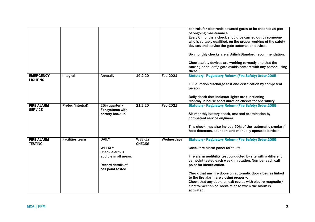|                   |                        |                          |               |                 | controls for electronic powered gates to be checked as part    |
|-------------------|------------------------|--------------------------|---------------|-----------------|----------------------------------------------------------------|
|                   |                        |                          |               |                 | of ongoing maintenance.                                        |
|                   |                        |                          |               |                 | Every 6 months a check should be carried out by someone        |
|                   |                        |                          |               |                 | who is suitably qualified, on the proper working of the safety |
|                   |                        |                          |               |                 |                                                                |
|                   |                        |                          |               |                 | devices and service the gate automation devices.               |
|                   |                        |                          |               |                 | Six monthly checks are a British Standard recommendation.      |
|                   |                        |                          |               |                 | Check safety devices are working correctly and that the        |
|                   |                        |                          |               |                 | moving door leaf / gate avoids contact with any person using   |
|                   |                        |                          |               |                 | these.                                                         |
|                   |                        |                          |               |                 |                                                                |
| <b>EMERGENCY</b>  | Integral               | Annually                 | 19.2.20       | Feb 2021        | <b>Statutory- Regulatory Reform (Fire Safety) Order 2005</b>   |
| <b>LIGHTING</b>   |                        |                          |               |                 |                                                                |
|                   |                        |                          |               |                 | Full duration discharge test and certification by competent    |
|                   |                        |                          |               |                 | person.                                                        |
|                   |                        |                          |               |                 |                                                                |
|                   |                        |                          |               |                 | Daily check that indicator lights are functioning              |
|                   |                        |                          |               |                 | Monthly in house short duration checks for operability         |
| <b>FIRE ALARM</b> | Protec (integral)      | 25% quarterly            | 21.2.20       | <b>Feb 2021</b> | <b>Statutory - Regulatory Reform (Fire Safety) Order 2005</b>  |
| <b>SERVICE</b>    |                        | For systems with         |               |                 |                                                                |
|                   |                        | battery back up          |               |                 | Six monthly battery check, test and examination by             |
|                   |                        |                          |               |                 | competent service engineer                                     |
|                   |                        |                          |               |                 |                                                                |
|                   |                        |                          |               |                 |                                                                |
|                   |                        |                          |               |                 | This check may also include 50% of the automatic smoke /       |
|                   |                        |                          |               |                 | heat detectors, sounders and manually operated devices         |
|                   |                        |                          |               |                 |                                                                |
| <b>FIRE ALARM</b> | <b>Facilities team</b> | <b>DAILY</b>             | <b>WEEKLY</b> | Wednesdays      | <b>Statutory - Regulatory Reform (Fire Safety) Order 2005</b>  |
| <b>TESTING</b>    |                        |                          | <b>CHECKS</b> |                 |                                                                |
|                   |                        | <b>WEEKLY</b>            |               |                 | Check fire alarm panel for faults                              |
|                   |                        | Check alarm is           |               |                 |                                                                |
|                   |                        | audible in all areas.    |               |                 | Fire alarm audibility test conducted by site with a different  |
|                   |                        |                          |               |                 | call point tested each week in rotation. Number each call      |
|                   |                        | <b>Record details of</b> |               |                 | point for identification.                                      |
|                   |                        | call point tested        |               |                 |                                                                |
|                   |                        |                          |               |                 | Check that any fire doors on automatic door closures linked    |
|                   |                        |                          |               |                 |                                                                |
|                   |                        |                          |               |                 | to the fire alarm are closing properly.                        |
|                   |                        |                          |               |                 | Check that any doors on exit routes with electro-magnetic /    |
|                   |                        |                          |               |                 | electro-mechanical locks release when the alarm is             |
|                   |                        |                          |               |                 | activated.                                                     |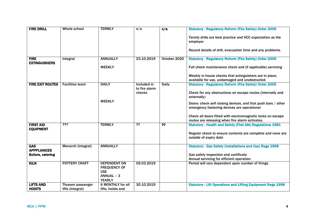| <b>FIRE DRILL</b>                                            | Whole school                          | <b>TERMLY</b>                                                                           | n/a                                    | n/a            | <b>Statutory - Regulatory Reform (Fire Safety) Order 2005</b><br>Termly drills are best practice and HCC expectation as the<br>employer                   |
|--------------------------------------------------------------|---------------------------------------|-----------------------------------------------------------------------------------------|----------------------------------------|----------------|-----------------------------------------------------------------------------------------------------------------------------------------------------------|
|                                                              |                                       |                                                                                         |                                        |                | Record details of drill, evacuation time and any problems.                                                                                                |
| <b>FIRE</b><br><b>EXTINGUISHERS</b>                          | Integral                              | <b>ANNUALLY</b>                                                                         | 23.10.2019                             | October 2020   | <b>Statutory - Regulatory Reform (Fire Safety) Order 2005</b>                                                                                             |
|                                                              |                                       | <b>WEEKLY</b>                                                                           |                                        |                | Full check maintenance check and (if applicable) servicing                                                                                                |
|                                                              |                                       |                                                                                         |                                        |                | Weekly in house checks that extinguishers are in place,<br>available for use, undamaged and unobstructed.                                                 |
| <b>FIRE EXIT ROUTES</b>                                      | <b>Facilities team</b>                | <b>DAILY</b>                                                                            | Included in<br>to fire alarm<br>checks | Daily          | <b>Statutory - Regulatory Reform (Fire Safety) Order 2005</b><br>Check for any obstructions on escape routes (internally and<br>externally)               |
|                                                              |                                       | <b>WEEKLY</b>                                                                           |                                        |                | Doors: check self closing devices, and that push bars / other<br>emergency fastening devices are operational                                              |
|                                                              |                                       |                                                                                         |                                        |                | Check all doors fitted with electromagnetic locks on escape<br>routes are releasing when fire alarm activates.                                            |
| <b>FIRST AID</b><br><b>EQUIPMENT</b>                         | $\overline{??'}$                      | <b>TERMLY</b>                                                                           | ??                                     | $\overline{?}$ | <b>Statutory - Health and Safety (First Aid) Regulations 1981</b><br>Regular check to ensure contents are complete and none are<br>outside of expiry date |
| <b>GAS</b><br><b>APPPLIANCES</b><br><b>Boilers, catering</b> | Monarch (integral)                    | <b>ANNUALLY</b>                                                                         |                                        |                | <b>Statutory - Gas Safety (Installations and Use) Regs 1998</b><br>Gas safety inspection and certificate<br>Annual servicing for efficient operation      |
| <b>KILN</b>                                                  | <b>POTTERY CRAFT</b>                  | <b>DEPENDENT ON</b><br><b>FREQUENCY OF</b><br><b>USE</b><br>ANNUAL - 3<br><b>YEARLY</b> | 05.03.2019                             |                | Period will vary dependent upon number of firings                                                                                                         |
| <b>LIFTS AND</b><br><b>HOISTS</b>                            | Thyssen passenger<br>lifts (Integral) | <b>6 MONTHLY for all</b><br>lifts, hoists and                                           | 30.10.2019                             |                | <b>Statutory - Lift Operations and Lifting Equipment Regs 1998</b>                                                                                        |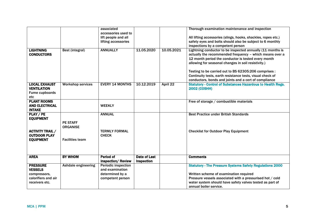| <b>LIGHTNING</b><br><b>CONDUCTORS</b>                                                      | Best (integral)                    | associated<br>accessories used to<br>lift people and all<br>lifting accessories<br><b>ANNUALLY</b> | 11.05.2020                               | 10.05.2021 | Thorough examination maintenance and inspection<br>All lifting accessories (slings, hooks, shackles, ropes etc.)<br>safety eyes and bolts should also be subject to 6 monthly<br>inspections by a competent person<br>Lightning conductor to be inspected annually (11 months is<br>actually the recommended frequency - which means over a<br>12 month period the conductor is tested every month<br>allowing for seasonal changes in soil resistivity.) |
|--------------------------------------------------------------------------------------------|------------------------------------|----------------------------------------------------------------------------------------------------|------------------------------------------|------------|-----------------------------------------------------------------------------------------------------------------------------------------------------------------------------------------------------------------------------------------------------------------------------------------------------------------------------------------------------------------------------------------------------------------------------------------------------------|
|                                                                                            |                                    |                                                                                                    |                                          |            | Testing to be carried out to BS 62305:206 comprises :<br>Continuity tests, earth resistance tests, visual check of<br>conductors, bonds and joints and a cert of compliance                                                                                                                                                                                                                                                                               |
| <b>LOCAL EXHAUST</b><br><b>VENTILATION</b><br><b>Fume cupboards</b><br>etc                 | <b>Workshop services</b>           | <b>EVERY 14 MONTHS</b>                                                                             | 10.12.2019                               | April 22   | <b>Statutory - Control of Substances Hazardous to Health Regs.</b><br><b>2002 (COSHH)</b>                                                                                                                                                                                                                                                                                                                                                                 |
| <b>PLANT ROOMS</b><br><b>AND ELECTRICAL</b><br><b>INTAKE</b>                               |                                    | <b>WEEKLY</b>                                                                                      |                                          |            | Free of storage / combustible materials                                                                                                                                                                                                                                                                                                                                                                                                                   |
| PLAY / PE<br><b>EQUIPMENT</b>                                                              | <b>PE STAFF</b><br><b>ORGANISE</b> | <b>ANNUAL</b>                                                                                      |                                          |            | <b>Best Practice under British Standards</b>                                                                                                                                                                                                                                                                                                                                                                                                              |
| <b>ACTIVITY TRAIL /</b><br><b>OUTDOOR PLAY</b><br><b>EQUIPMENT</b>                         | <b>Facilities team</b>             | <b>TERMLY FORMAL</b><br><b>CHECK</b>                                                               |                                          |            | <b>Checklist for Outdoor Play Equipment</b>                                                                                                                                                                                                                                                                                                                                                                                                               |
| <b>AREA</b>                                                                                | <b>BY WHOM</b>                     | Period of<br><b>Inspection/Review</b>                                                              | <b>Date of Last</b><br><b>Inspection</b> |            | <b>Comments</b>                                                                                                                                                                                                                                                                                                                                                                                                                                           |
| <b>PRESSURE</b><br><b>VESSELS</b><br>compressors,<br>calorifiers and air<br>receivers etc. | Ashdale engineering                | <b>Periodic inspection</b><br>and examination<br>determined by a<br>competent person               |                                          |            | <b>Statutory - The Pressure Systems Safety Regulations 2000</b><br>Written scheme of examination required<br>Pressure vessels associated with a pressurised hot / cold<br>water system should have safety valves tested as part of<br>annual boiler service.                                                                                                                                                                                              |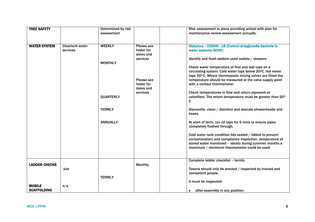| <b>TREE SAFETY</b>   |                        | Determined by risk |                | Risk assessment in place providing school with plan for      |
|----------------------|------------------------|--------------------|----------------|--------------------------------------------------------------|
|                      |                        | assessment         |                | maintenance review assessment annually.                      |
|                      |                        |                    |                |                                                              |
|                      |                        |                    |                |                                                              |
| <b>WATER SYSTEM</b>  | <b>Cleartech water</b> | <b>WEEKLY</b>      | Please see     | Statutory - COSHH, L8 (Control of legionella bacteria in     |
|                      | services               |                    | folder for     | water systems ACOP)                                          |
|                      |                        |                    | dates and      |                                                              |
|                      |                        |                    | services       | Identify and flush seldom used outlets / showers             |
|                      |                        | <b>MONTHLY</b>     |                |                                                              |
|                      |                        |                    |                | Check water temperature of first and last taps on a          |
|                      |                        |                    |                | circulating system. Cold water taps below 20°C. Hot water    |
|                      |                        |                    |                | taps 50°C. Where thermostatic mixing valves are fitted the   |
|                      |                        |                    | Please see     | temperature should be measured at the valve supply point     |
|                      |                        |                    | folder for     | with a contact thermometer                                   |
|                      |                        |                    | dates and      |                                                              |
|                      |                        |                    | services       | Check temperatures in flow and return pipework at            |
|                      |                        | <b>QUARTERLY</b>   |                | calorifiers. The return temperature must be greater than 50° |
|                      |                        |                    |                | C                                                            |
|                      |                        |                    |                |                                                              |
|                      |                        | <b>TERMLY</b>      |                | Dismantle, clean / disinfect and descale showerheads and     |
|                      |                        |                    |                | hoses.                                                       |
|                      |                        |                    |                |                                                              |
|                      |                        | <b>ANNUALLY</b>    |                | At start of term, run all taps for 5 mins to ensure pipes    |
|                      |                        |                    |                | completely flushed through.                                  |
|                      |                        |                    |                |                                                              |
|                      |                        |                    |                | Cold water tank condition lids sealed / lidded to prevent    |
|                      |                        |                    |                | contamination) and compliance inspection, temperature of     |
|                      |                        |                    |                | stored water monitored - ideally during summer months a      |
|                      |                        |                    |                | maximum / minimum thermometer could be used.                 |
|                      |                        |                    |                |                                                              |
|                      |                        |                    |                |                                                              |
|                      |                        |                    |                | Complete ladder checklist - termly                           |
| <b>LADDER CHECKS</b> |                        |                    | <b>Monthly</b> |                                                              |
|                      | site                   |                    |                | Towers should only be erected / inspected by trained and     |
|                      |                        |                    |                | competent people.                                            |
|                      |                        | <b>TERMLY</b>      |                |                                                              |
|                      |                        |                    |                | It must be inspected:                                        |
| <b>MOBILE</b>        | n/a                    |                    |                |                                                              |
| <b>SCAFFOLDING</b>   |                        |                    |                | after assembly in any position;<br>$\bullet$                 |